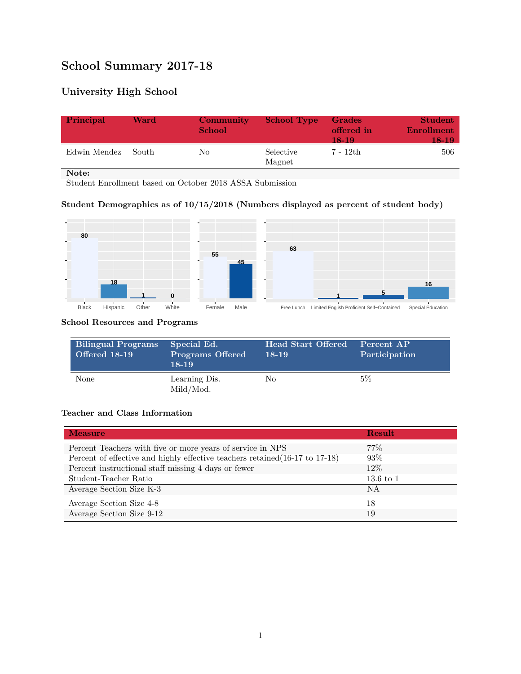# **School Summary 2017-18**

## **University High School**

| Principal          | Ward | Community<br><b>School</b> | <b>School Type</b>  | <b>Grades</b><br>offered in<br>18-19 | <b>Student</b><br>Enrollment<br>18-19 |
|--------------------|------|----------------------------|---------------------|--------------------------------------|---------------------------------------|
| Edwin Mendez South |      | No                         | Selective<br>Magnet | 7 - 12th                             | 506                                   |

**Note:**

Student Enrollment based on October 2018 ASSA Submission

### **Student Demographics as of 10/15/2018 (Numbers displayed as percent of student body)**



#### **School Resources and Programs**

| <b>Bilingual Programs</b><br>Offered 18-19 | Special Ed.<br><b>Programs Offered</b><br>$18-19$ | <b>Head Start Offered</b><br>18-19 | Percent AP<br>Participation |
|--------------------------------------------|---------------------------------------------------|------------------------------------|-----------------------------|
| <b>None</b>                                | Learning Dis.<br>Mild/Mod.                        | No                                 | $5\%$                       |

#### **Teacher and Class Information**

| <b>Measure</b>                                                               | <b>Result</b>        |
|------------------------------------------------------------------------------|----------------------|
| Percent Teachers with five or more years of service in NPS                   | $77\%$               |
| Percent of effective and highly effective teachers retained (16-17 to 17-18) | 93%                  |
| Percent instructional staff missing 4 days or fewer                          | $12\%$               |
| Student-Teacher Ratio                                                        | $13.6 \text{ to } 1$ |
| Average Section Size K-3                                                     | ΝA                   |
| Average Section Size 4-8                                                     | 18                   |
| Average Section Size 9-12                                                    | 19                   |